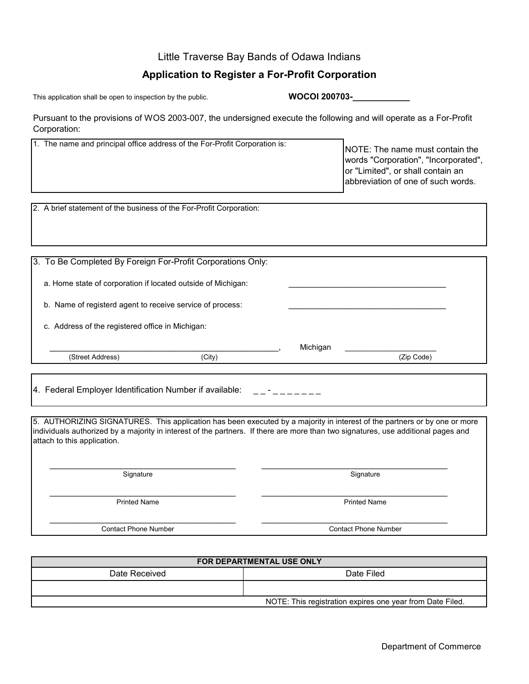## Little Traverse Bay Bands of Odawa Indians

## **Application to Register a For-Profit Corporation**

This application shall be open to inspection by the public.

**WOCOI 200703-\_\_\_\_\_\_\_\_\_\_\_\_**

Michigan

Pursuant to the provisions of WOS 2003-007, the undersigned execute the following and will operate as a For-Profit Corporation:

| 1. The name and principal office address of the For-Profit Corporation is: | NOTE: The name must contain the<br> words "Corporation", "Incorporated",<br>or "Limited", or shall contain an<br>abbreviation of one of such words. |
|----------------------------------------------------------------------------|-----------------------------------------------------------------------------------------------------------------------------------------------------|
|----------------------------------------------------------------------------|-----------------------------------------------------------------------------------------------------------------------------------------------------|

2. A brief statement of the business of the For-Profit Corporation:

3. To Be Completed By Foreign For-Profit Corporations Only:

a. Home state of corporation if located outside of Michigan:

b. Name of registerd agent to receive service of process:

c. Address of the registered office in Michigan:

(Street Address) (City) \_\_\_\_\_\_\_\_\_\_\_\_\_\_\_\_\_\_\_\_\_\_\_\_\_\_\_\_\_\_\_\_\_\_\_\_\_\_\_\_\_\_\_\_\_\_\_\_, \_\_\_\_\_\_\_\_\_\_\_\_\_\_\_\_\_\_\_\_\_

4. Federal Employer Identification Number if available:  $\Box$ -------

5. AUTHORIZING SIGNATURES. This application has been executed by a majority in interest of the partners or by one or more individuals authorized by a majority in interest of the partners. If there are more than two signatures, use additional pages and attach to this application.

\_\_\_\_\_\_\_\_\_\_\_\_\_\_\_\_\_\_\_\_\_\_\_\_\_\_\_\_\_\_\_\_\_\_\_\_\_\_\_ \_\_\_\_\_\_\_\_\_\_\_\_\_\_\_\_\_\_\_\_\_\_\_\_\_\_\_\_\_\_\_\_\_\_\_\_\_\_\_

Signature Sample of the Second Science of the Signature Signature  $\sim$  Signature  $\sim$ 

Contact Phone Number

\_\_\_\_\_\_\_\_\_\_\_\_\_\_\_\_\_\_\_\_\_\_\_\_\_\_\_\_\_\_\_\_\_\_\_\_\_\_\_

(Zip Code)

 \_\_\_\_\_\_\_\_\_\_\_\_\_\_\_\_\_\_\_\_\_\_\_\_\_\_\_\_\_\_\_\_\_\_\_\_\_\_\_ Printed Name Printed Name

 \_\_\_\_\_\_\_\_\_\_\_\_\_\_\_\_\_\_\_\_\_\_\_\_\_\_\_\_\_\_\_\_\_\_\_\_\_\_\_ \_\_\_\_\_\_\_\_\_\_\_\_\_\_\_\_\_\_\_\_\_\_\_\_\_\_\_\_\_\_\_\_\_\_\_\_\_\_\_ Contact Phone Number

Date Received **Date Filed FOR DEPARTMENTAL USE ONLY** NOTE: This registration expires one year from Date Filed.